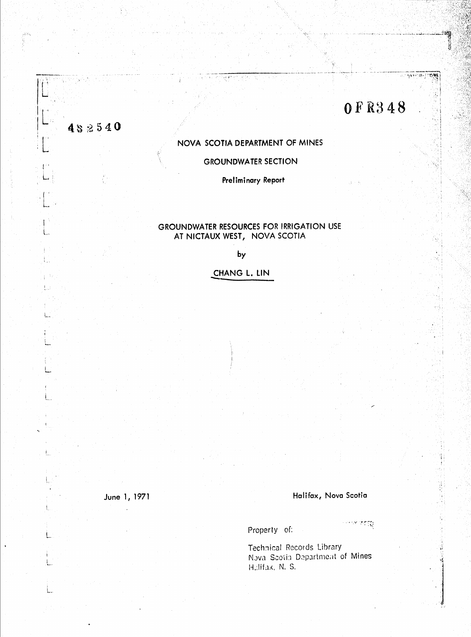# **OFR348**

w

59

÷.

NOVA SCOTIA DEPARTMENT OF MINES

**GROUNDWATER SECTION** 

Preliminary Report

## GROUNDWATER RESOURCES FOR IRRIGATION USE AT NICTAUX WEST, NOVA SCOTIA

 $by$ 

CHANG L. LIN

June 1, 1971

482540

ŧ.,

1

 $\mathsf{L}$ 

#### Halifax, Nova Scotia

Property of:

া সাংক্ষি

Technical Records Library Nova Scotia Department of Mines Halifax, N. S.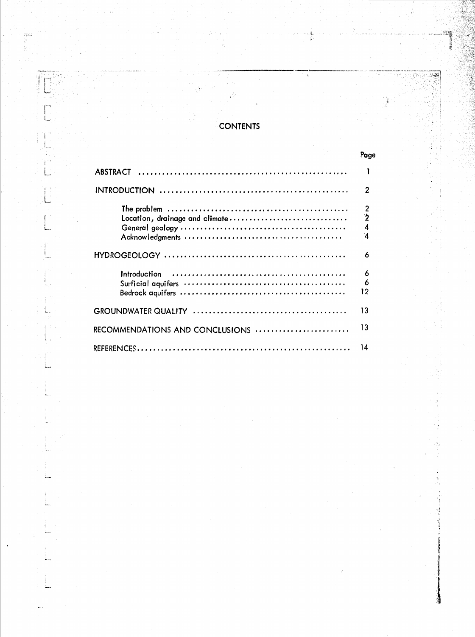# **CONTENTS**

say

 $\mathcal{L}$ 

|                                                                                                                                     | Page                           |
|-------------------------------------------------------------------------------------------------------------------------------------|--------------------------------|
|                                                                                                                                     |                                |
|                                                                                                                                     | 2                              |
| The problem $\dots \dots \dots \dots \dots \dots \dots \dots \dots \dots \dots \dots \dots \dots$<br>Location, drainage and climate | $\frac{2}{2}$<br>$\frac{4}{4}$ |
|                                                                                                                                     | 6                              |
|                                                                                                                                     | 6<br>6<br>12                   |
|                                                                                                                                     | 13                             |
| RECOMMENDATIONS AND CONCLUSIONS                                                                                                     | 13                             |
|                                                                                                                                     | 14                             |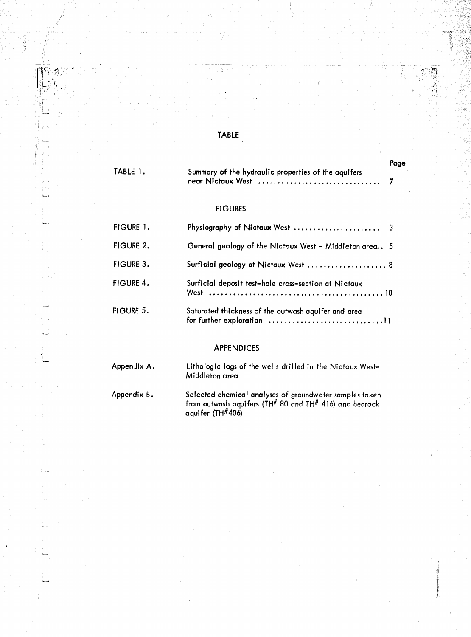# TABLE

TABLE 1. FIGURE 1. FIGURE 2. FIGURE 3. FIGURE 4. FIGURE 5. Summary of the hydraulic properties of the aquifers **near Nictaux West 7** FIGURES Physiography of Nictaux West ......................... 3 General geology of the Nictaux West - Middleton area. 5 Surficial geology at Nictaux West ..................... 8 Surficial deposit test-hole cross-section at Nictaux **West 10** Saturated thickness of the outwash aquifer and area for further exploration ••.....•.....••.......•....•• <sup>11</sup>

#### APPENDICES

| Appen Jix A . | Lithologic logs of the wells drilled in the Nictaux West-<br>Middleton area                                                               |
|---------------|-------------------------------------------------------------------------------------------------------------------------------------------|
| Appendix B.   | Selected chemical analyses of groundwater samples taken<br>from outwash aquifers (TH# 80 and TH# 416) and bedrock<br>aquifer (TH $#406$ ) |

Page

i

 $\int\limits_{\mathcal{X}}$ 1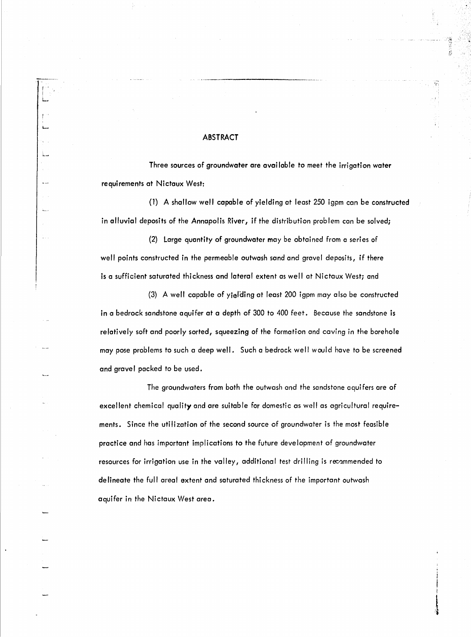#### ABSTRACT

I I L

L.-.

Ŵ.

Three sources of groundwater are available to meet the irrigation water requirements at Nictaux West:

(1) A shallow well capable of yielding at least 250 igpm can be constructed in alluvial deposits of the Annapolis River, if the distribution problem can be solved;

Ŧ

(2) Large quantity of groundwater may be obtained from a series of well points constructed in the permeable outwash sand and gravel deposits, if there is a sufficient saturated thickness and lateral extent as well at Nictaux West; and

(3) A well capable of yielding at least  $200$  igpm may also be constructed in a bedrock sandstone aquifer at a depth of 300 to 400 feet. Because the sandstone is relatively soft and poorly sorted, squeezing of the formation and caving in the borehole may pose problems to such a deep well. Such a bedrock well would have to be screened and gravel packed to be used.

The groundwaters from both the outwash and the sandstone aquifers are of excellent chemical quality and are suitable for domestic as well as agricultural requirements. Since the utilization of the second source of groundwater is the most feasible practice and has important implications to the future development of groundwater resources for irrigation use in the valley, additional test drilling is recommended to de lineate the full areal extent and saturated thickness of the important outwash aquifer in the Nictaux West area.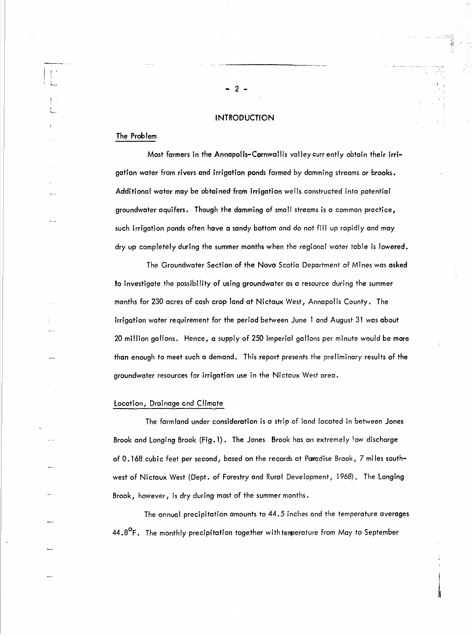#### **INTRODUCTION**

- 2 -

### The Problem

Most farmers in the Annapolis-Cornwallis valley curr ently obtain their irrigation water from rivers and irrigation ponds formed by damming streams or brooks. Additional water may be obtained from irrigation wells constructed into potential groundwater aquifers. Though the damming of small streams is a common practice, such irrigation ponds often have a sandy bottom and do not fill up rapidly and may dry up completely during the summer months when the regional water table is lowered.

The Groundwater Section of the Nova Scotia Department of Mines was asked to investigate the possibility of using groundwater as a resource during the summer months for 230 acres of cash crop land at Nictaux West, Annapolis County. The irrigation water requirement for the period between June 1 and August 31 was about 20 million gallons. Hence, a supply of 250 imperial gallons per minute would be more than enough to meet such a demand. This report presents the preliminary results of the groundwater resources for irrigation use in the Nictaux West area.

#### Location, Drainage end Climate

The farmland under consideration is a strip of land located in between Jones Brook and Longing Brook (Fig. 1). The Jones Brook has an extremely low discharge of 0.168 cubic feet per second, based on the records at Paradise Brook, 7 miles southwest of Nictaux West (Dept. of Forestry and Rural Development, 1968). The Longing Brook, however, is dry during most of the summer months.

The annual precipitation amounts to 44.5 inches and the temperature averages  $44.8^{\circ}$ F. The monthly precipitation together with temperature from May to September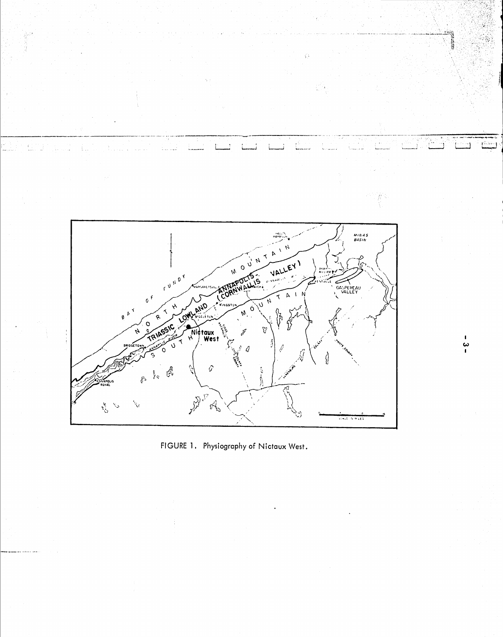

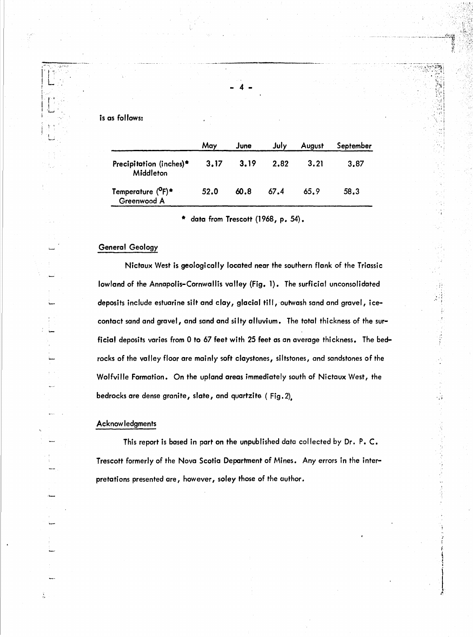#### is as follows:

|                                               | May  | June | July | August | September |
|-----------------------------------------------|------|------|------|--------|-----------|
| Precipitation (inches)*<br>Middleton          | 3.17 | 3.19 | 2.82 | 3.21   | 3.87      |
| Temperature ( <sup>O</sup> F)*<br>Greenwood A | 52.0 | 60.8 | 67.4 | 65.9   | 58.3      |

4

data from Trescott (1968, p. 54).

#### General Geology

Nictaux West is geologically located near the southern flank of the Triassic lowland of the Annapolis-Cornwallis valley (Fig. 1). The surficial unconsolidated deposits include estuarine silt and clay, glacial till, outwash sand and gravel, icecontact sand and gravel, and sand and silty alluvium. The total thickness of the surficial deposits varies from 0 to 67 feet with 25 feet as an average thickness. The bedrocks of the valley floor are mainly soft claystones, siltstones, and sandstones of the Wolfville Formation. On the upland areas immediately south of Nictaux West, the bedrocks are dense granite, slate, and quartzite ( Fig. 2).

'{ .... • 'j

 $\sim$   $\mu$ 

έŘ

r l  $\frac{1}{2}$ •

i~  $\frac{1}{2}$ 

#### Acknow ledgments

This report is based in part on the unpublished data collected by Dr. P. C. Trescott formerly of the Nova Scotia Department of Mines. Any errors in the interpretations presented are, however, soley those of the author.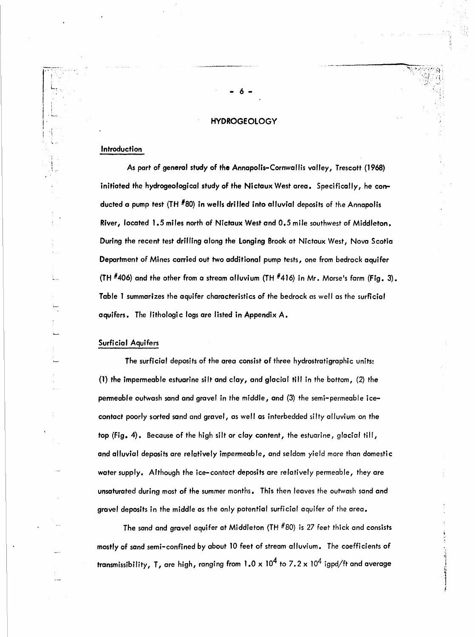#### **HYDROGEOLOGY**

- 6 -

#### Introduction

L.

I

 $\vert$  $\vert \cdot$ I ,  $\vert \hspace{.1cm} \vert$   $\vert \hspace{.1cm} \vert$ 'l,.. .•-

> As part of general study of the Annapolis-Cornwallis valley, Trescott (1968) initiated the hydrogeological study of the Nictaux West area. Specifically, he conducted a pump test (TH #80) in wells dri lied into alluvial deposits of the Annapolis River, located 1.5 miles north of Nictaux West and 0.5 mile southwest of Middleton. During the recent test drilling along the Longing Brook at Nictaux West, Nova Scotia Department of Mines carried out two additional pump tests, one from bedrock aquifer (TH  $#406$ ) and the other from a stream alluvium (TH  $#416$ ) in Mr. Morse's farm (Fig. 3). Table 1 summarizes the aquifer characteristics of the bedrock as well as the surficial aquifers. The lithologic logs are listed in Appendix A.

#### Surficial Aquifers

The surficial deposits of the area consist of three hydrostratigraphic units: (1) the impermeable estuarine silt and clay, and glacial till in the bottom, (2) the permeable outwash sand and gravel in the middle, and (3) the semi-permeable icecontact poorly sorted sand and gravel, as well as interbedded si Ity alluvium on the top (Fig. 4). Because of the high silt or clay content, the estuarine, glacial till, and alluvial deposits are *relatively* impermeable, and *seldom* yield more than domestic water supply. Although the ice-contact deposits are relatively permeable, they are unsaturated during most of the summer months. This then *leaves* the outwash sand and grovel depasits in the middle as the *only* potential surficial aquifer of the area.

The sand and gravel aquifer at *Middleton* (TH #80) is 27 feet thick and consists mostly of sand semi-confined *by* about 10 feet of stream alluvium. The coefficients of transmissibility, T, are high, ranging from  $1.0 \times 10^4$  to  $7.2 \times 10^4$  igpd/ft and average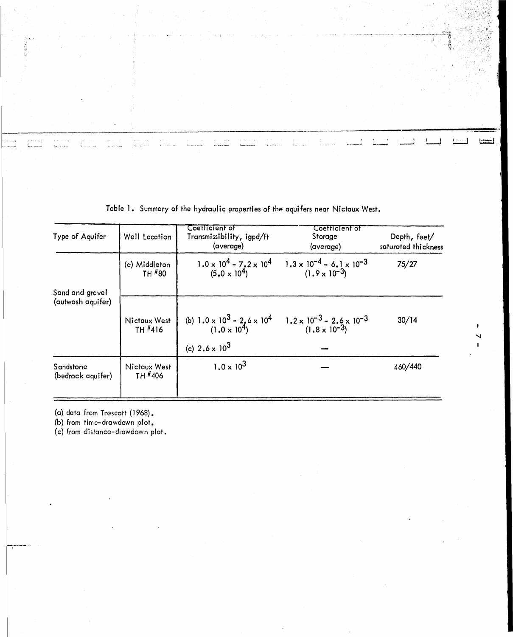| Type of Aquifer                      | Well Location           | Coetticient of<br>Transmissibility, igpd/ft<br>(average)                                                                                | Coefficient of<br>Storage<br>(average)                              | Depth, feet/<br>saturated thickness |
|--------------------------------------|-------------------------|-----------------------------------------------------------------------------------------------------------------------------------------|---------------------------------------------------------------------|-------------------------------------|
|                                      | (a) Middleton<br>TH #80 | 1.0 x 10 <sup>4</sup> - 7.2 x 10 <sup>4</sup><br>(5.0 x 10 <sup>4</sup> )                                                               | $1.3 \times 10^{-4} - 6.1 \times 10^{-3}$<br>$(1.9 \times 10^{-3})$ | 75/27                               |
| Sand and gravel<br>(outwash aquifer) | Nictaux West<br>TH #416 | (b) $1.0 \times 10^3 - 2.6 \times 10^4$ $1.2 \times 10^{-3} - 2.6 \times 10^{-3}$<br>(1.0 x 10 <sup>4</sup> ) (1.8 x 10 <sup>-3</sup> ) |                                                                     | 30/14                               |
|                                      |                         | (c) $2.6 \times 10^3$                                                                                                                   |                                                                     |                                     |
| Sandstone<br>(bedrock aquifer)       | Nictaux West<br>TH #406 | $1.0 \times 10^{3}$                                                                                                                     |                                                                     | 460/440                             |

Table 1. Summary of the hydraulic properties of the aquifers near Nictaux West.

(a) data from Trescott (1968).

 $\overline{\mathbb{C}}$ 

als cons<br>Invariant

(b) from timc-drawdown plot.

(c) from distance-drawdown plot.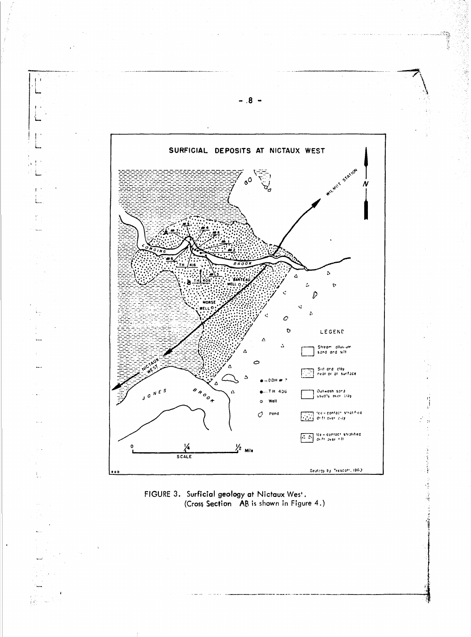

- 5

 $\frac{1}{4}$ 



γķ.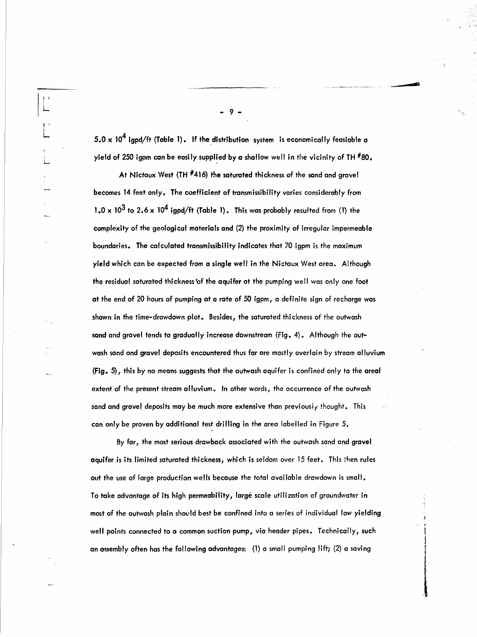- 9 -

I I ! L

 $\mathbf{I}^{\mathcal{A}}$ I L

 $5.0 \times 10^4$  igpd/ft (Table 1). If the distribution system is economically feasiable a yield of 250 igpm can be easily supplied by a shallow well in the vicinity of TH  $^{\#}80$ .

At Nictaux West (TH  $#416$ ) the saturated thickness of the sand and gravel becomes 14 feet only. The coefficient of transmissibility varies considerably from 1.0 x 10<sup>3</sup> to 2.6 x 10<sup>4</sup> igpd/ft (Table 1). This was probably resulted from (1) the complexity of the geological materials and (2) the proximity of irregular impermeable boundaries. The calculated transmissibility indicates that 70 igpm is the maximum yield which can be expected from a single well in the Nictaux West area. Although the residual saturated thickness of the aquifer at the pumping well was only one foot at the end of 20 hours of pumping at a rate of 50 igpm, a definite sign of recharge was shown in the time-drawdown plot. Besides, the saturated thickness of the outwash sand and gravel tends to gradually increase downstream (Fig. 4). Although the outwash sand and gravel deposits encountered thus far are mostly overlain by stream alluvium (Fig. 5), this by no means suggests that the outwash aquifer is confined only to the areal extent of the present stream alluvium. In other words, the occurrence of the outwash sand and gravel deposits may be much more extensive than previously thought. This can only be proven by additional test drilling in the area labelled in Figure 5.

By far, the most serious drawback associated with the outwash sand and gravel aquifer is its limited saturated thickness, which is seldom over 15 feet. This then rules out the use of large production wells because the total available drawdown is small. To take advantage of its high permeability, large scale utilization of groundwater in most of the outwash plain should best be confined into a series of individual low yielding well points connected to a common suction pump, via header pipes. Technically, such an assembly often has the following advantages: (1) a small pumping lift; (2) a saving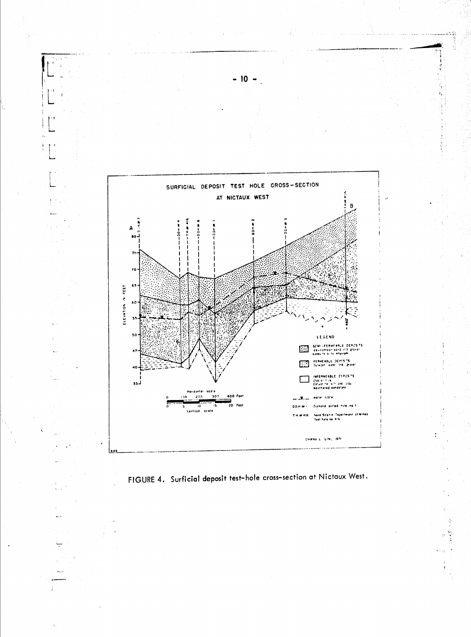

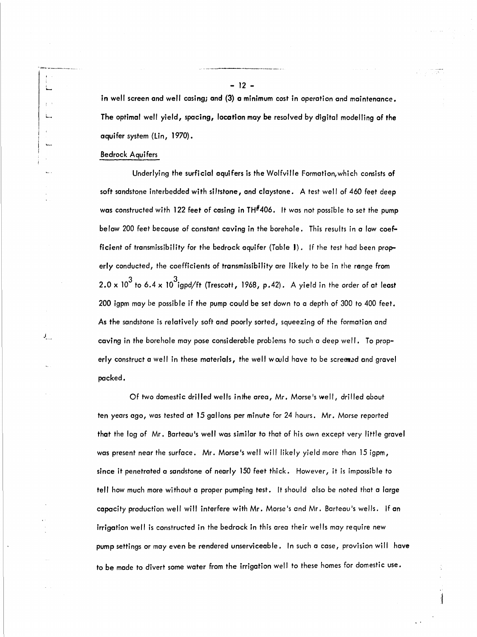in well screen and well casing; and (3) a minimum cost in operation and maintenance. The optimal well yield, spacing, location may be resolved by digital modelling of the aquifer system (lin, 1970).

,-----\_.\_\_..\_.-...

#### Bedrock Aquifers

, ...-

L.\_

 $\mathcal{N}_{\mathcal{N}_{\mathcal{N}}}$ 

Underlying the surficial aquifers is the Wolfville Formation,which consists of soft sandstone interbedded with siltstone, and claystone. A test well of 460 feet deep was constructed with 122 feet of casing in  $TH^{\#}406$ . It was not possible to set the pump below 200 feet because of constant caving in the borehole. This results in a low coefficient of transmissibility for the bedrock aquifer (Table J). If the test had been properly conducted, the coefficients of transmissibility are likely to be in the range from  $\,$  2.0 x 10 $^3$  to 6.4 x 10 $^3$ igpd/ft (Trescott, 1968, p.42).  $\,$  A yield in the order of at least 200 igpm may be possible if the pump could be set down to a depth of 300 to 400 feet. As the sandstone is relatively soft and poorly sorted, squeezing of the formation and caving in the borehole may pose considerable problems to such a deep well. To properly construct a well in these materials, the well would have to be screened and gravel packed.

Of two domestic drilled wells inthe area, Mr. Morse's well, drilled about ten years ago, was tested at 15 gallons per minute for 24 hours. Mr. Morse reported that the log of Mr. Barteau's well was similar to that of his own except very little gravel was present near the surface. Mr. Morse's well will likely yield more than 15 igpm, since it penetrated a sandstone of nearly 150 feet thick. However, it is impossible to tell how much more without a proper pumping test. It should also be noted that a large capacity production well will interfere with Mr. Morse's and Mr. Barteau's wells. If an irrigation well is constructed in the bedrock in this area their wells may require new pump settings or may even be rendered unserviceable. In such a case, provision will have to be made to divert some water from the irrigation well to these homes for domestic use.

 $\mathbf i$ 

- 12 -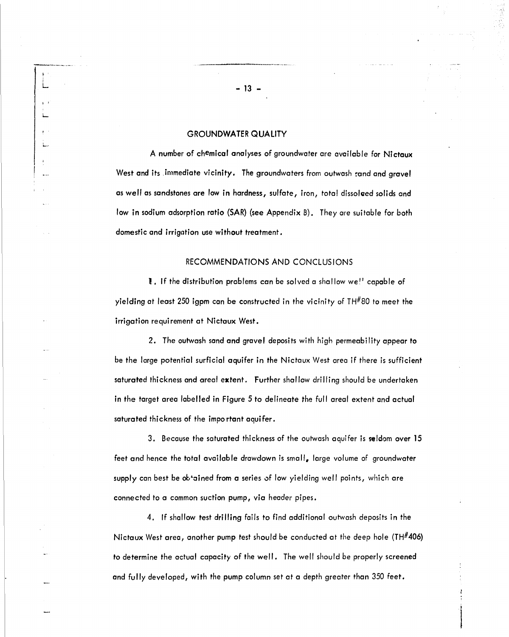#### GROUNDWATER QUALITY

L

, I L.

> A number of chemical analyses of groundwater are available for Nictaux West and its .immediate vicinity. The groundwaters from outwash cand and gravel as well as sandstones are low in hardness, sulfate, iron, total dissolved solids and low in sodium adsorption ratio (SAR) (see Appendix B). They are suitable for both domestic and irrigation use without treatment.

#### RECOMMENDATIONS AND CONCLUSIONS

I. If the distribution problems can be solved <sup>a</sup> shallow we" capable of yielding at least 250 igpm can be constructed in the vicinity of TH $#80$  to meet the irrigation requirement at Nictaux West.

2. The outwash sand and gravel deposits with high permeability appear to be the large potential surficial aquifer in the Nictaux West area if there is sufficient saturated thickness and areal extent. Further shallow drilling should be undertaken in the target area labelled in Figure 5 to delineate the full areal extent and actual saturated thickness of the important aquifer.

3. Because the saturated thickness of the outwash aquifer is seldom over 15 feet and hence the total available drawdown is small, large volume of groundwater supply can best be ob-ained from a series of low yielding well points, which are connected to a common suction pump, via header pipes.

4. If shallow test drilling fails to find additional outwash deposits in the Nictaux West area, another pump test should be conducted at the deep hole (TH#406) to determine the actual capacity of the well. The well should be properly screened and fully developed, with the pump column set at a depth greater than 350 feet.

 $\overline{\phantom{a}}$ 

--\_..\_------\_..\_\_....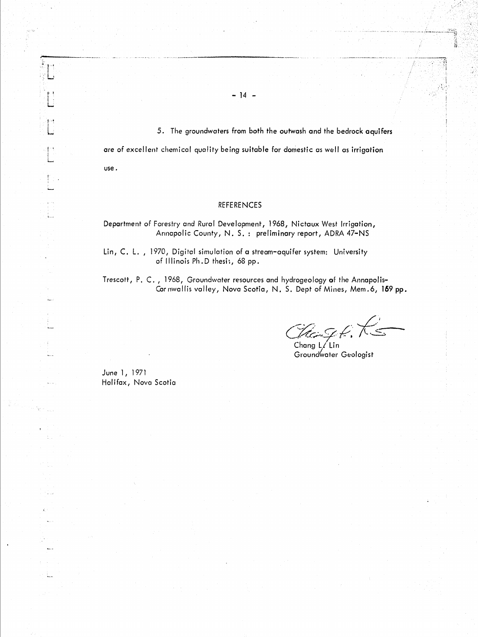5. The groundwaters from both the outwash and the bedrock aquifers

are of excellent chemical quality being suitable for domestic as well as irrigation

- 14 -

use.

#### **REFERENCES**

Department of Forestry and Rural Development, 1968, Nictaux West Irrigation, Annapolic County, N. S.: preliminary report, ADRA 47-NS

Lin, C. L., 1970, Digital simulation of a stream-aquifer system: University of Illinois Ph.D thesis, 68 pp.

Trescott, P. C., 1968, Groundwater resources and hydrogeology of the Annapolis-Cornwallis valley, Nova Scotia, N. S. Dept of Mines, Mem.6, 159 pp.

 $\mathcal{U}_{\text{cusp}}$  (k)

23. 萧

Groundwater Geologist

June 1, 1971 Halifax, Nova Scotia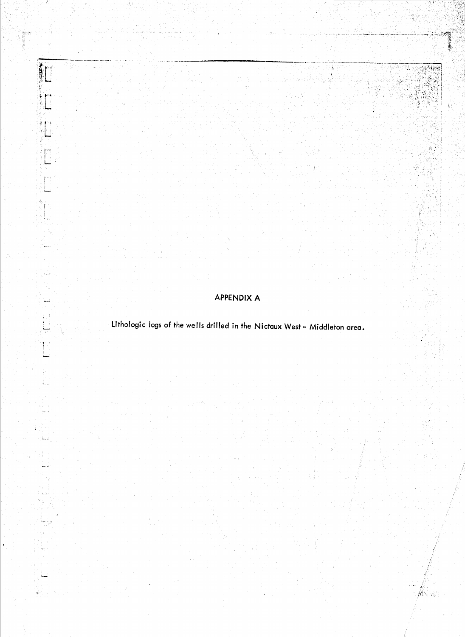APPENDIX A

高速線

j liza

نسبة

Ť.

ني بيا

i<br>Tengan

 $\zeta_{\rm max}$ 

 $\mathbf{r}$ 

 $\mathcal{K}^{\mathcal{A}}_{\mathcal{A}}$ 

ay g

 $m_{\rm max}$ 

ega<br>Vit

Äд ķ,

Lithologic logs of the wells drilled in the Nictaux West - Middleton area.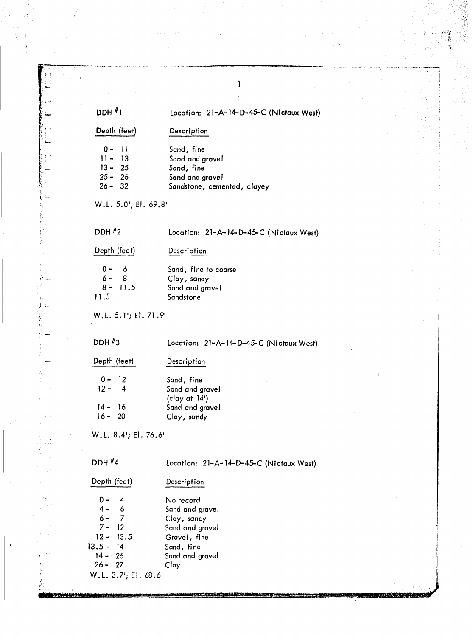| $DDH$ <sup>#</sup> 1                          |                                         | Location: 21-A-14-D-45-C (Nictaux West)                                                       |  |  |  |  |
|-----------------------------------------------|-----------------------------------------|-----------------------------------------------------------------------------------------------|--|--|--|--|
|                                               | Depth (feet)                            | Description                                                                                   |  |  |  |  |
| $0 -$<br>$11 -$<br>$13 -$<br>$25 -$<br>$26 -$ | $\overline{11}$<br>13<br>25<br>26<br>32 | Sand, fine<br>Sand and gravel<br>Sand, fine<br>Sand and gravel<br>Sandstone, cemented, clayey |  |  |  |  |
|                                               | W.L. 5.0'; El. 69.8'                    |                                                                                               |  |  |  |  |
| DDH $#2$                                      |                                         | Location: 21-A-14-D-45-C (Nictaux West)                                                       |  |  |  |  |
| Depth (feet)                                  |                                         | Description                                                                                   |  |  |  |  |
| 0<br>6 -<br>$8 -$<br>11.5                     | 6<br>8<br>11.5                          | Sand, fine to coarse<br>Clay, sandy<br>Sand and gravel<br>Sandstone                           |  |  |  |  |
|                                               | W.L. 5.1'; El. 71.9'                    |                                                                                               |  |  |  |  |
| DDH $\#$ 3                                    |                                         | Location: 21-A-14-D-45-C (Nictaux West)                                                       |  |  |  |  |
| Depth (feet)                                  |                                         | Description                                                                                   |  |  |  |  |
| $0 -$<br>$12 - 14$                            | $\overline{12}$                         | Sand, fine<br>Sand and gravel<br>(clay at 14')                                                |  |  |  |  |
| $14 -$<br>$16 - 20$                           | -16                                     | Sand and gravel<br>Clay, sandy                                                                |  |  |  |  |
|                                               | W.L. 8.4'; El. 76.6'                    |                                                                                               |  |  |  |  |
| DDH $#4$                                      |                                         | Location: 21-A-14-D-45-C (Nictaux West)                                                       |  |  |  |  |
| Depth (feet)                                  |                                         | Description                                                                                   |  |  |  |  |
| $0 -$                                         | 4                                       | No record                                                                                     |  |  |  |  |
| $4 -$<br>$6 -$                                | 6<br>$\overline{7}$                     | Sand and gravel<br>Clay, sandy                                                                |  |  |  |  |
| $7 -$                                         | 12                                      | Sand and gravel                                                                               |  |  |  |  |
| $12 -$                                        | 13.5                                    | Gravel, fine                                                                                  |  |  |  |  |
| $13.5 -$<br>$14 -$                            | 14<br>26                                | Sand, fine<br>Sand and gravel                                                                 |  |  |  |  |
| $26 - 27$                                     |                                         | Clay                                                                                          |  |  |  |  |
|                                               | W.L. 3.7'; El. 68.6'                    |                                                                                               |  |  |  |  |

<u> BERTAH HERKARA BILANDARKAN DELANDA DELANDARKAN DELANDARKAN DELANDARKAN DELANDARKAN DELANDARKAN DELANDARKAN DEL</u>

**TEXTERNAL RELAXATION** 

医有效性

 $\hat{\pmb{\cdot}}$ 

UNICONSULTANG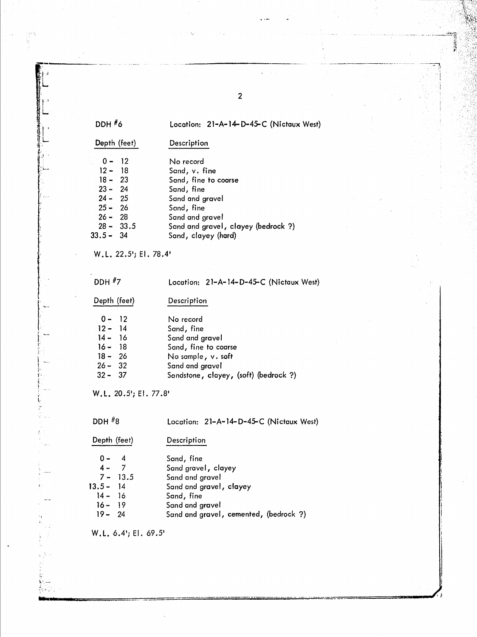| DDH #6 |  |
|--------|--|
|        |  |

#### Location: 21-A-14-D-45-C (Nictaux West)

 $\overline{2}$ 

Depth (feet)

 $0 - 12$ 

 $12 - 18$ 

 $24 - 25$ 

 $25 -$ 

No record Sand, v. fine

Description

- $18 23$ Sand, fine to coarse  $23 - 24$ Sand, fine
	- Sand and gravel
	- 26 Sand, fine
- $26 -$ 28 Sand and gravel
- $28 33.5$ Sand and gravel, clayey (bedrock ?)
- $33.5 34$ Sand, clayey (hard)
- W.L. 22.5'; El. 78.4'
- **DDH #7**

# Location: 21-A-14-D-45-C (Nictaux West)

- Depth (feet) Description  $0 - 12$ No record  $12 - 14$ Sand, fine  $14 - 16$ Sand and gravel  $16 - 18$ Sand, fine to coarse  $18 - 26$ No sample, v. soft
- $26 32$ Sand and gravel
- $32 37$ Sandstone, clayey, (soft) (bedrock ?)

W.L. 20.5'; El. 77.8'

i,

DDH $#8$ Location: 21-A-14-D-45-C (Nictaux West) Depth (feet) Description  $\overline{4}$  $0 -$ Sand, fine  $\overline{7}$ Sand gravel, clayey  $4 7 -$ 13.5 Sand and gravel  $13.5 14$ Sand and gravel, clayey  $14 -$ Sand, fine  $16$  $16 -$ 19 Sand and gravel  $19 -$ 24 Sand and gravel, cemented, (bedrock ?)

W.L. 6.4'; El. 69.5'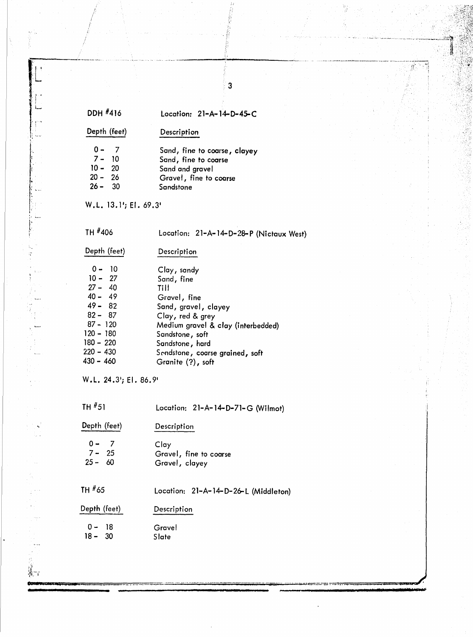| DDH #416                                                                                                                                            | Location: $21-A-14-D-45-C$                                                                                                                                                                                                        |
|-----------------------------------------------------------------------------------------------------------------------------------------------------|-----------------------------------------------------------------------------------------------------------------------------------------------------------------------------------------------------------------------------------|
| Depth (feet)                                                                                                                                        | Description                                                                                                                                                                                                                       |
| $0 -$<br>- 7<br>$7 - 10$<br>$10 - 20$<br>$20 - 26$<br>$26 - 30$                                                                                     | Sand, fine to coarse, clayey<br>Sand, fine to coarse<br>Sand and gravel<br>Gravel, fine to coarse<br>Sandstone                                                                                                                    |
| W.L. 13.1'; El. 69.3'                                                                                                                               |                                                                                                                                                                                                                                   |
| TH #406                                                                                                                                             | Location: 21-A-14-D-28-P (Nictaux West)                                                                                                                                                                                           |
| Depth (feet)                                                                                                                                        | Description                                                                                                                                                                                                                       |
| $0 - 10$<br>$10 - 27$<br>$27 - 40$<br>$40 - 49$<br>$49 - 82$<br>$82 - 87$<br>$87 - 120$<br>$120 - 180$<br>$180 - 220$<br>$220 - 430$<br>$430 - 460$ | Clay, sandy<br>Sand, fine<br>Till<br>Gravel, fine<br>Sand, gravel, clayey<br>Clay, red & grey<br>Medium gravel & clay (interbedded)<br>Sandstone, soft<br>Sandstone, hard<br>Sendstone, coarse grained, soft<br>Granite (?), soft |
| W.L. 24.3'; El. 86.9'                                                                                                                               |                                                                                                                                                                                                                                   |
| TH $#51$                                                                                                                                            | Location: 21–A–14–D–71–G (Wilmot)                                                                                                                                                                                                 |
| Depth (feet)                                                                                                                                        | Description                                                                                                                                                                                                                       |
| $0 -$<br>- 7<br>$7 -$<br>25<br>$25 - 60$                                                                                                            | Clay<br>Gravel, fine to coarse<br>Gravel, clayey                                                                                                                                                                                  |
| TH #65                                                                                                                                              | Location: 21-A-14-D-26-L (Middleton)                                                                                                                                                                                              |
| Depth (feet)                                                                                                                                        | Description                                                                                                                                                                                                                       |
| 18<br>$0 -$<br>$18 -$<br>30                                                                                                                         | Gravel<br>Slate                                                                                                                                                                                                                   |

 $\overline{3}$ 

ď.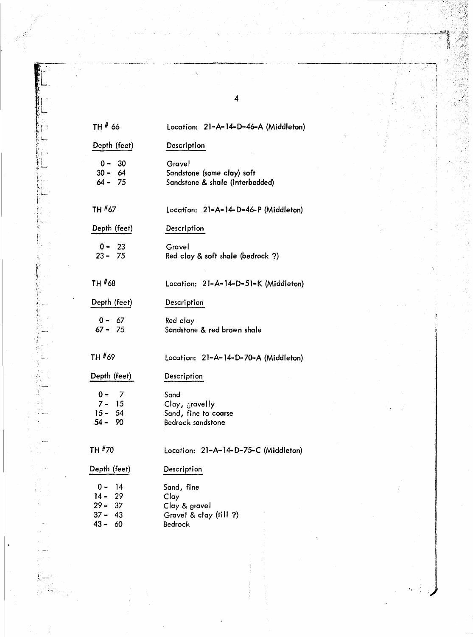| TH # 66                                                           | Location: 21-A-14-D-46-A (Middleton)                                           |
|-------------------------------------------------------------------|--------------------------------------------------------------------------------|
| Depth (feet)                                                      | Description                                                                    |
| $0 - 30$<br>$30 - 64$<br>$64 - 75$                                | <b>Grave!</b><br>Sandstone (some clay) soft<br>Sandstone & shale (interbedded) |
| TH #67                                                            | Location: 21–A–14–D–46–P (Middleton)                                           |
| Depth (feet)                                                      | Description                                                                    |
| $0 - 23$<br>$23 - 75$                                             | Gravel<br>Red clay & soft shale (bedrock ?)                                    |
| TH #68                                                            | Location: 21-A-14-D-51-K (Middleton)                                           |
| Depth (feet)                                                      | Description                                                                    |
| $0 - 67$<br>$67 - 75$                                             | Red clay<br>Sandstone & red brown shale                                        |
| TH #69                                                            | Location: 21-A-14-D-70-A (Middleton)                                           |
| Depth (feet)                                                      | Description                                                                    |
| 0 -<br>- 7<br>$7 - 15$<br>$15 - 54$<br>$54 - 90$                  | Sand<br>Clay, cravelly<br>Sand, fine to coarse<br><b>Bedrock sandstone</b>     |
| TH #70                                                            | Location: 21-A-14-D-75-C (Middleton)                                           |
| Depth (feet)                                                      | Description                                                                    |
| 0 -<br>-14<br>$14 -$<br>29<br>$29 - 37$<br>$37 - 43$<br>$43 - 60$ | Sand, fine<br>Clay<br>Clay & gravel<br>Gravel & clay (till ?)<br>Bedrock       |

"

,~., f '. I '

}<br>}<br>}<br>}<br>}<br>}

 $~\cdots$  $\ddot{\phantom{0}}$ \' .', *'i.* 1 j

It; .. '. ...,

4

 $\frac{\sqrt{2}}{2}$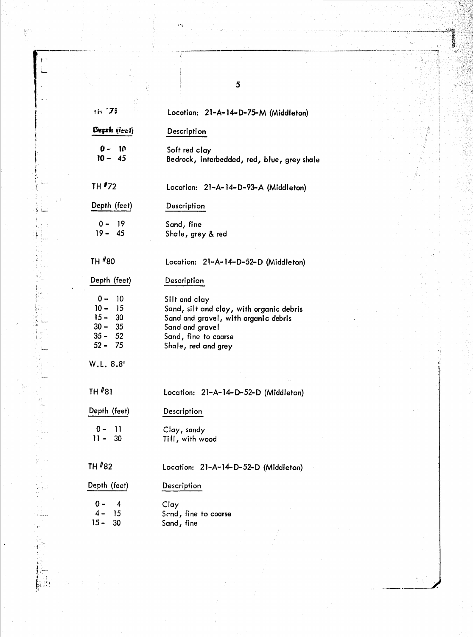| $th$ $7i$                                                                    | Location: 21-A-14-D-75-M (Middleton)                                                                                                                                |
|------------------------------------------------------------------------------|---------------------------------------------------------------------------------------------------------------------------------------------------------------------|
| Depth (feet)                                                                 | Description                                                                                                                                                         |
| $0 - 10$<br>$10 - 45$                                                        | Soft red clay<br>Bedrock, interbedded, red, blue, grey shale                                                                                                        |
| TH #72                                                                       | Location: 21-A-14-D-93-A (Middleton)                                                                                                                                |
| Depth (feet)                                                                 | Description                                                                                                                                                         |
| $0 - 19$<br>$19 - 45$                                                        | Sand, fine<br>Shale, grey & red                                                                                                                                     |
| TH #80                                                                       | Location: 21-A-14-D-52-D (Middleton)                                                                                                                                |
| Depth (feet)                                                                 | Description                                                                                                                                                         |
| $0 -$<br>10<br>$10 - 15$<br>$15 - 30$<br>$30 - 35$<br>$35 - 52$<br>$52 - 75$ | Silt and clay<br>Sand, silt and clay, with organic debris<br>Sand and gravel, with organic debris<br>Sand and gravel<br>Sand, fine to coarse<br>Shale, red and grey |
| W.L. 8.8'                                                                    |                                                                                                                                                                     |
| TH #81                                                                       | Location: 21-A-14-D-52-D (Middleton)                                                                                                                                |
| Depth (feet)                                                                 | Description                                                                                                                                                         |
| $0 -$<br>11<br>$11 - 30$                                                     | Clay, sandy<br>Till, with wood                                                                                                                                      |
| TH #82                                                                       | Location: 21-A-14-D-52-D (Middleton)                                                                                                                                |
| Depth (feet)                                                                 | Description                                                                                                                                                         |
| 0 -<br>$\overline{4}$<br>$4 -$<br>-15<br>$15 -$<br>30                        | Clay<br>Scnd, fine to coarse<br>Sand, fine                                                                                                                          |

 $\overline{\mathbf{5}}$ 

gen<br>B

Ą おんき かいきん

ļ

一本 载射信号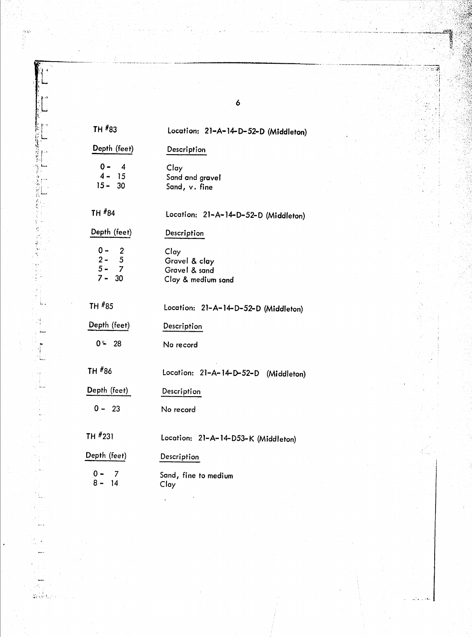| TH #83                                  | Location: 21-A-14-D-52-D (Middleton)                         |
|-----------------------------------------|--------------------------------------------------------------|
| Depth (feet)                            | Description                                                  |
| $0 - 4$<br>$4 - 15$<br>$15 - 30$        | Clay<br>Sand and gravel<br>Sand, v. fine                     |
| TH #84                                  | Location: 21-A-14-D-52-D (Middleton)                         |
| Depth (feet)                            | Description                                                  |
| $0 - 2$<br>$2 - 5$<br>5 - 7<br>$7 - 30$ | Clay<br>Gravel & clay<br>Gravel & sand<br>Clay & medium sand |
| TH #85                                  | Location: 21-A-14-D-52-D (Middleton)                         |
| Depth (feet)                            | Description                                                  |
| $0 - 28$                                | No record                                                    |
| TH #86                                  | Location: 21-A-14-D-52-D (Middleton)                         |
| Depth (feet)                            | Description                                                  |
| $0 - 23$                                | No record                                                    |
| TH #231                                 | Location: 21-A-14-D53-K (Middleton)                          |
| Depth (feet)                            | Description                                                  |
| 0 –<br>- 7<br>$8 - 14$                  | Sand, fine to medium<br>Clay                                 |
|                                         |                                                              |

.,.-.\_-\_....--..\_.\_-\_....\_\_.. ------------------

6

~. '.. .' ,I'~

បងបង

l'~ .~ , يا : *i* ;.[

 $\frac{1}{2} \sqrt{\frac{1}{2} \left( \frac{1}{2} \right)^2}$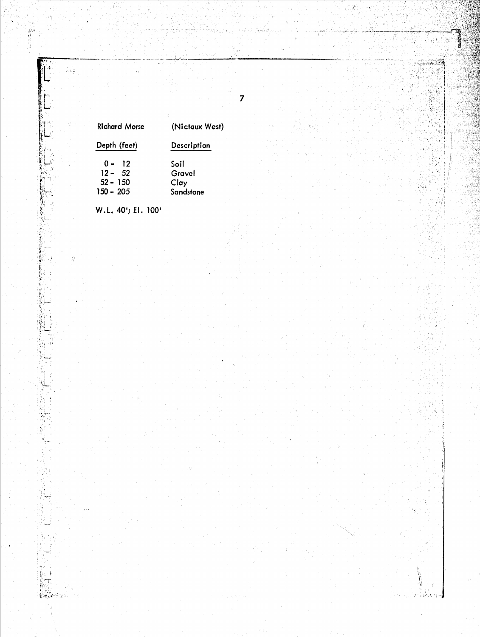| <b>Richard Morse</b> | (Nictaux West) |  |  |
|----------------------|----------------|--|--|
| Depth (feet)         | Description    |  |  |
| $0 - 12$             | Soil           |  |  |
| $12 - 52$            | Gravel         |  |  |
| $52 - 150$           | Clay           |  |  |
| 150 – 205            | $S$ andrtono   |  |  |

7

W.L. 40'; El. 100'

ÁV)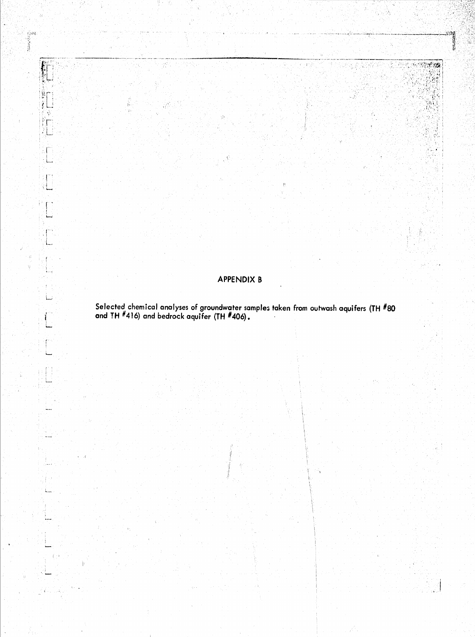# APPENDIX B

 $k \sim 122$ 

[465] 동일화 출발

 $\frac{1}{2}\frac{d^{\frac{3}{2}}}{4}$ 

76

 $\begin{bmatrix} 1 \\ 1 \\ 2 \end{bmatrix}$ 

ş

קינים.<br>איירות<br>אי

**Republican Service** 

Ķ

轧

 $\mathcal{N}$ 

ăΓ : L.,

1.

٠L.

ti<br>Anna

لمنعط

Selected chemical analyses of groundwater samples taken from outwash aquifers (TH #80 and TH #416) and bedrock aquifer (TH #406).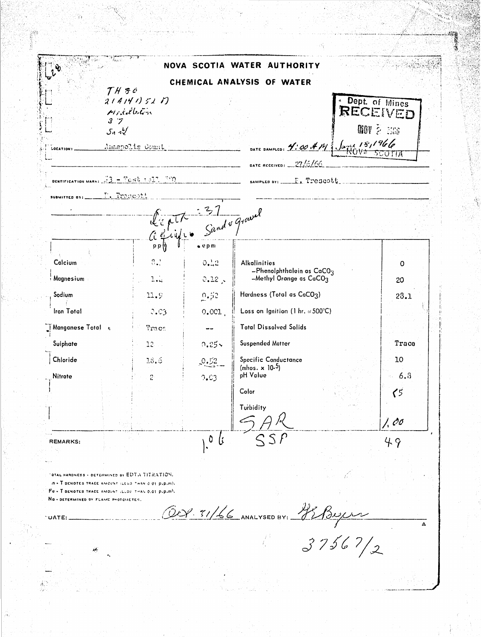| $\bm{v}$                                                                                                                                                                                              |                                                            |                     |                                      | NOVA SCOTIA WATER AUTHORITY                                           |                                                       |              |
|-------------------------------------------------------------------------------------------------------------------------------------------------------------------------------------------------------|------------------------------------------------------------|---------------------|--------------------------------------|-----------------------------------------------------------------------|-------------------------------------------------------|--------------|
|                                                                                                                                                                                                       | $THf$ c                                                    |                     |                                      | CHEMICAL ANALYSIS OF WATER                                            |                                                       |              |
| LOCATION :                                                                                                                                                                                            | 21414115211<br>Middleban<br>3.7<br>5.72<br>Annapolis Count |                     |                                      | DATE SAMPLED: $4.00411$ , $\frac{12.001}{N6}$                         | Dept. of Mines<br>RECEIVED<br><b><i>MOV 2 306</i></b> |              |
|                                                                                                                                                                                                       |                                                            |                     |                                      | DATE RECEIVED: $27/6/66$                                              |                                                       |              |
| DENTIFICATION MARK: $73 - 7656 + 227 - 780$                                                                                                                                                           |                                                            |                     |                                      | SAMPLED BY: $F_1$ $T$ $P$ $G$ $O$ $t$ $t$                             |                                                       |              |
| suamirren av: _________ P. Tropcott                                                                                                                                                                   |                                                            |                     |                                      |                                                                       |                                                       |              |
|                                                                                                                                                                                                       |                                                            |                     | L'épite 37<br>C'épigne Sand & Gravel |                                                                       |                                                       |              |
|                                                                                                                                                                                                       |                                                            | $p p \nvert \nvert$ | $e$ epm                              |                                                                       |                                                       |              |
| Calcium                                                                                                                                                                                               |                                                            | 0.1                 | 0.12                                 | <b>Alkalinities</b>                                                   |                                                       | $\circ$      |
| Magnesium                                                                                                                                                                                             |                                                            | 1.4                 | $0.12$ ,                             | $-$ Phenolphthalein as CaCO <sub>3</sub><br>-Methyl Orange as $CaCO3$ |                                                       | 20           |
| Sodium                                                                                                                                                                                                |                                                            | 11.9                | 0.52                                 | Hardness (Total as CaCO3)                                             |                                                       | 23.1         |
| <b>Iron Total</b>                                                                                                                                                                                     |                                                            | $Q$ , $C_3$         | 0.001                                | Loss on Ignition (1 hr. $\approx$ 500°C)                              |                                                       |              |
| Monganese Total                                                                                                                                                                                       |                                                            | Trace               |                                      | <b>Total Dissolved Solids</b>                                         |                                                       |              |
| Suiphate                                                                                                                                                                                              |                                                            | $12 - 1$            | 0.25x                                | <b>Suspended Matter</b>                                               |                                                       | Trace        |
| Chloride                                                                                                                                                                                              |                                                            | 18.6                | $\sim$ $\sim$ $\sim$                 | Specific Conductance<br>(mhos. $\times$ 10- <sup>5</sup> )            |                                                       | 10           |
| Nitrate                                                                                                                                                                                               |                                                            | $\ddot{c}$          | 0.03                                 | pH Value<br>Color                                                     |                                                       | $-6.3$<br>75 |
|                                                                                                                                                                                                       |                                                            |                     |                                      | Turbidity                                                             |                                                       | 1.00         |
| <b>REMARKS:</b>                                                                                                                                                                                       |                                                            |                     | $\mathbf 0$<br>li                    | SSP                                                                   |                                                       | 49           |
| "OTAL HARDNESS + DETERMINED BY EDTA TITRATION.<br>IN . T DENOTES TRACE AMOUNT LLESS THAN 0.01 P.P.IN).<br>Fe - T DENOTES THACE AMOUNT ILLSS THAN 0.01 p.p.m).<br>NO . DETERMINED BY FLAME PHOTOMETER. |                                                            |                     |                                      |                                                                       |                                                       |              |
| $\sim$ UATE:                                                                                                                                                                                          |                                                            |                     |                                      | OUP. 31/66 ANALYSED BY: PEBULLE                                       |                                                       | Δ            |
| Дł.                                                                                                                                                                                                   |                                                            |                     |                                      |                                                                       | 37567/2                                               |              |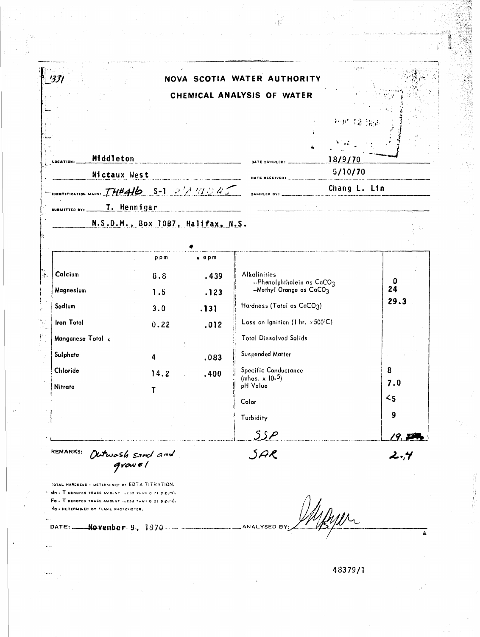|                                                                                                                                                      |                                   |               | NOVA SCOTIA WATER AUTHORITY                                 |              |          |
|------------------------------------------------------------------------------------------------------------------------------------------------------|-----------------------------------|---------------|-------------------------------------------------------------|--------------|----------|
|                                                                                                                                                      |                                   |               | CHEMICAL ANALYSIS OF WATER                                  |              |          |
|                                                                                                                                                      |                                   |               |                                                             |              |          |
|                                                                                                                                                      |                                   |               |                                                             | 孙严 12 服約     |          |
|                                                                                                                                                      |                                   |               |                                                             |              |          |
|                                                                                                                                                      |                                   |               |                                                             |              |          |
| Middleton<br><u> Alexandria de la contenentación de la contenentación de la contenentación de la contenentación de la contene</u><br><b>OCATION!</b> |                                   |               | DATE SAMPLED: _________                                     | 18/9/70      |          |
| Nictaux West                                                                                                                                         |                                   |               | 5/10/70<br>DATE RECEIVED: _________                         |              |          |
| IDENTIFICATION MARS: THEAID S-1 2/11/2/20                                                                                                            |                                   |               | SAMPLED BY:<br>المستحدث والمستنقذ والمستنقذ                 | Chang L. Lin |          |
|                                                                                                                                                      | T. Hennigar                       |               | <u> 1980 - Jan Stein Stein Stein Stein Berger (d. 1980)</u> |              |          |
|                                                                                                                                                      | N.S.D.M., Box 1087, Halifax, N.S. |               |                                                             |              |          |
|                                                                                                                                                      |                                   |               |                                                             |              |          |
|                                                                                                                                                      | ppm                               | $\bullet$ epm |                                                             |              |          |
| Calcium                                                                                                                                              | 8.8                               | .439          | <b>Alkalinities</b>                                         |              |          |
| Magnesium                                                                                                                                            | 1.5                               | .123          | $-$ Phenolphthalein as CaCO3<br>-Methyl Orange as CaCO3     |              | 0<br>24  |
| Sodium                                                                                                                                               | 3.0                               | .131          | Hardness (Total as CaCO3)                                   |              | 29.3     |
| <b>Iron Total</b>                                                                                                                                    |                                   |               | Loss on Ignition (1 hr. $\approx$ 500°C)                    |              |          |
|                                                                                                                                                      | 0.22                              | .012          | <b>Total Dissolved Solids</b>                               |              |          |
| Manganese Total r.                                                                                                                                   |                                   |               |                                                             |              |          |
| Sulphate                                                                                                                                             | 4                                 | 083           | Suspended Matter                                            |              |          |
| Chloride                                                                                                                                             | 14.2                              | .400          | <b>Specific Conductance</b><br>(mhos. $\times$ 10-5)        |              | 8        |
| Nitrate                                                                                                                                              |                                   |               | pH Value                                                    |              | 7.0      |
|                                                                                                                                                      |                                   |               | Color                                                       |              | $\leq$ 5 |
|                                                                                                                                                      |                                   |               | Turbidity                                                   |              | 9        |
|                                                                                                                                                      |                                   |               | SSP                                                         |              | 19.11    |
| <b>REMARKS:</b>                                                                                                                                      |                                   |               |                                                             |              |          |
|                                                                                                                                                      | Outwosh sand and<br>growel        |               | SAR                                                         |              | 2.4      |

 $\cdot \overline{W}^2$ 

Ÿ.

Mn - T DENOTES TRACE AMOUNT LESS THAN O OT p.b.ml. Fe - T DENOTES TRACE AMOUNT (LESS THAN 0.01 p.p.m). VO . DETERMINED BY FLAME PHOTOMETER.

DATE: November 9, 1970

Mayor ANALYSED BY:  $\overline{\mathbb{A}}$ 

48379/1